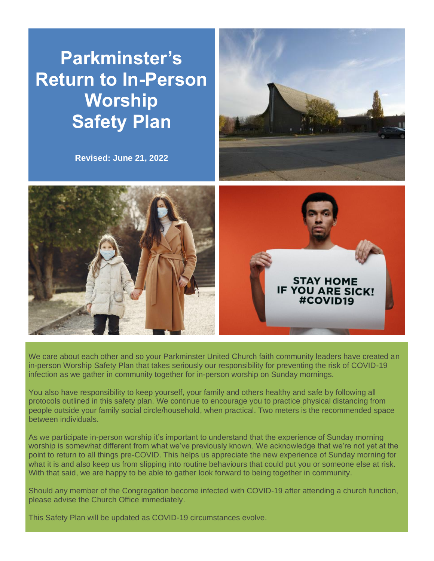# **Parkminster's Return to In-Person Worship Safety Plan**

**Revised: June 21, 2022**







We care about each other and so your Parkminster United Church faith community leaders have created an in-person Worship Safety Plan that takes seriously our responsibility for preventing the risk of COVID-19 infection as we gather in community together for in-person worship on Sunday mornings.

You also have responsibility to keep yourself, your family and others healthy and safe by following all protocols outlined in this safety plan. We continue to encourage you to practice physical distancing from people outside your family social circle/household, when practical. Two meters is the recommended space between individuals.

As we participate in-person worship it's important to understand that the experience of Sunday morning worship is somewhat different from what we've previously known. We acknowledge that we're not yet at the point to return to all things pre-COVID. This helps us appreciate the new experience of Sunday morning for what it is and also keep us from slipping into routine behaviours that could put you or someone else at risk. With that said, we are happy to be able to gather look forward to being together in community.

Should any member of the Congregation become infected with COVID-19 after attending a church function, please advise the Church Office immediately.

This Safety Plan will be updated as COVID-19 circumstances evolve.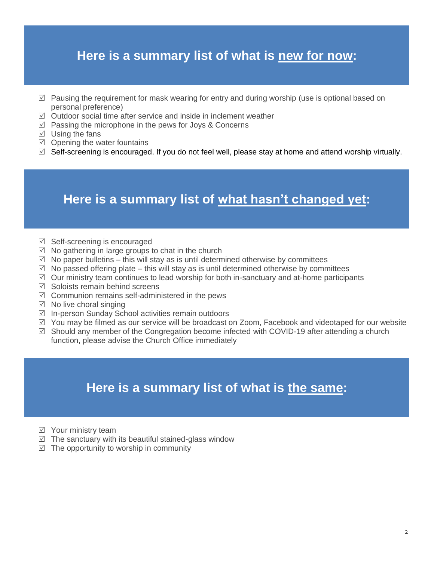## **Here is a summary list of what is new for now:**

- $\boxtimes$  Pausing the requirement for mask wearing for entry and during worship (use is optional based on personal preference)
- $\boxtimes$  Outdoor social time after service and inside in inclement weather
- $\boxtimes$  Passing the microphone in the pews for Joys & Concerns
- $\boxtimes$  Using the fans
- $\boxtimes$  Opening the water fountains
- $\boxtimes$  Self-screening is encouraged. If you do not feel well, please stay at home and attend worship virtually.

#### **Here is a summary list of what hasn't changed yet:**

- $\boxtimes$  Self-screening is encouraged
- $\boxtimes$  No gathering in large groups to chat in the church
- $\boxtimes$  No paper bulletins this will stay as is until determined otherwise by committees
- $\boxtimes$  No passed offering plate this will stay as is until determined otherwise by committees
- $\boxtimes$  Our ministry team continues to lead worship for both in-sanctuary and at-home participants
- $\nabla$  Soloists remain behind screens
- $\boxtimes$  Communion remains self-administered in the pews
- $\boxtimes$  No live choral singing
- $\boxtimes$  In-person Sunday School activities remain outdoors
- $\boxtimes$  You may be filmed as our service will be broadcast on Zoom, Facebook and videotaped for our website
- $\boxtimes$  Should any member of the Congregation become infected with COVID-19 after attending a church function, please advise the Church Office immediately

#### **Here is a summary list of what is the same:**

- $\boxtimes$  Your ministry team
- $\boxtimes$  The sanctuary with its beautiful stained-glass window
- $\triangledown$  The opportunity to worship in community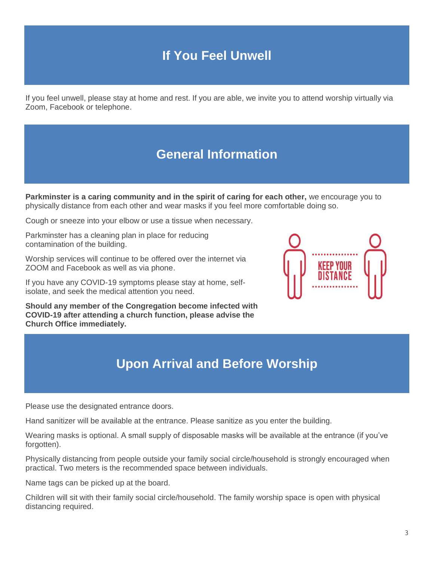## **If You Feel Unwell**

If you feel unwell, please stay at home and rest. If you are able, we invite you to attend worship virtually via Zoom, Facebook or telephone.

## **General Information**

**Parkminster is a caring community and in the spirit of caring for each other,** we encourage you to physically distance from each other and wear masks if you feel more comfortable doing so.

Cough or sneeze into your elbow or use a tissue when necessary.

Parkminster has a cleaning plan in place for reducing contamination of the building.

Worship services will continue to be offered over the internet via ZOOM and Facebook as well as via phone.

If you have any COVID-19 symptoms please stay at home, selfisolate, and seek the medical attention you need.

**Should any member of the Congregation become infected with COVID-19 after attending a church function, please advise the Church Office immediately.**



## **Upon Arrival and Before Worship**

Please use the designated entrance doors.

Hand sanitizer will be available at the entrance. Please sanitize as you enter the building.

Wearing masks is optional. A small supply of disposable masks will be available at the entrance (if you've forgotten).

Physically distancing from people outside your family social circle/household is strongly encouraged when practical. Two meters is the recommended space between individuals.

Name tags can be picked up at the board.

Children will sit with their family social circle/household. The family worship space is open with physical distancing required.